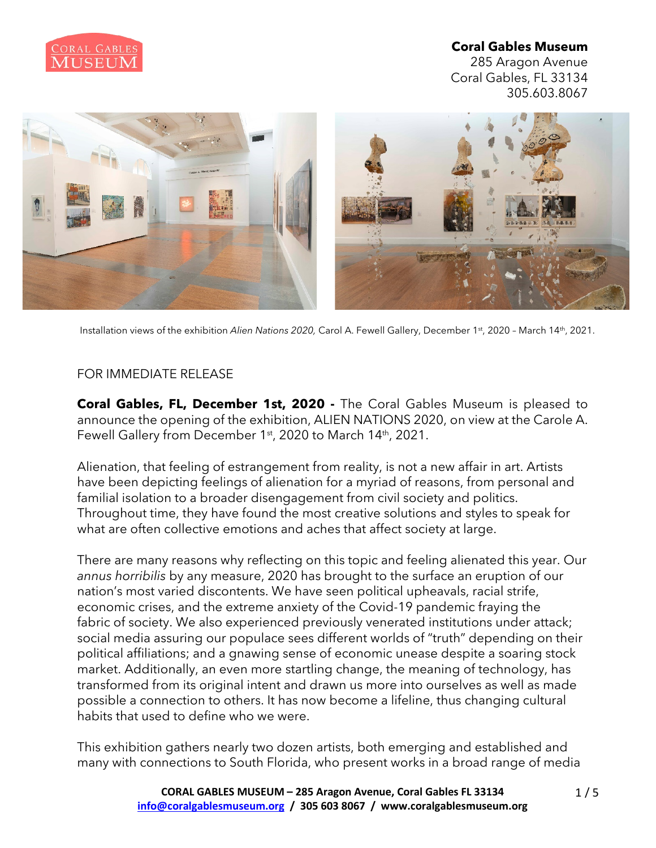

285 Aragon Avenue Coral Gables, FL 33134 305.603.8067



Installation views of the exhibition *Alien Nations 2020,* Carol A. Fewell Gallery, December 1st, 2020 – March 14th, 2021.

## FOR IMMEDIATE RELEASE

**Coral Gables, FL, December 1st, 2020 -** The Coral Gables Museum is pleased to announce the opening of the exhibition, ALIEN NATIONS 2020, on view at the Carole A. Fewell Gallery from December 1<sup>st</sup>, 2020 to March 14<sup>th</sup>, 2021.

Alienation, that feeling of estrangement from reality, is not a new affair in art. Artists have been depicting feelings of alienation for a myriad of reasons, from personal and familial isolation to a broader disengagement from civil society and politics. Throughout time, they have found the most creative solutions and styles to speak for what are often collective emotions and aches that affect society at large.

There are many reasons why reflecting on this topic and feeling alienated this year. Our *annus horribilis* by any measure, 2020 has brought to the surface an eruption of our nation's most varied discontents. We have seen political upheavals, racial strife, economic crises, and the extreme anxiety of the Covid-19 pandemic fraying the fabric of society. We also experienced previously venerated institutions under attack; social media assuring our populace sees different worlds of "truth" depending on their political affiliations; and a gnawing sense of economic unease despite a soaring stock market. Additionally, an even more startling change, the meaning of technology, has transformed from its original intent and drawn us more into ourselves as well as made possible a connection to others. It has now become a lifeline, thus changing cultural habits that used to define who we were.

This exhibition gathers nearly two dozen artists, both emerging and established and many with connections to South Florida, who present works in a broad range of media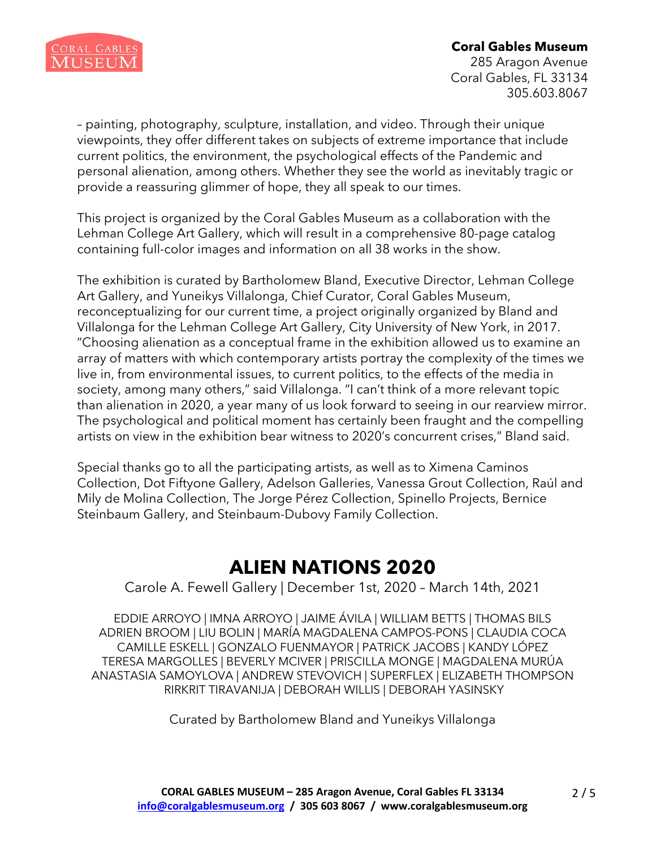

285 Aragon Avenue Coral Gables, FL 33134 305.603.8067

– painting, photography, sculpture, installation, and video. Through their unique viewpoints, they offer different takes on subjects of extreme importance that include current politics, the environment, the psychological effects of the Pandemic and personal alienation, among others. Whether they see the world as inevitably tragic or provide a reassuring glimmer of hope, they all speak to our times.

This project is organized by the Coral Gables Museum as a collaboration with the Lehman College Art Gallery, which will result in a comprehensive 80-page catalog containing full-color images and information on all 38 works in the show.

The exhibition is curated by Bartholomew Bland, Executive Director, Lehman College Art Gallery, and Yuneikys Villalonga, Chief Curator, Coral Gables Museum, reconceptualizing for our current time, a project originally organized by Bland and Villalonga for the Lehman College Art Gallery, City University of New York, in 2017. "Choosing alienation as a conceptual frame in the exhibition allowed us to examine an array of matters with which contemporary artists portray the complexity of the times we live in, from environmental issues, to current politics, to the effects of the media in society, among many others," said Villalonga. "I can't think of a more relevant topic than alienation in 2020, a year many of us look forward to seeing in our rearview mirror. The psychological and political moment has certainly been fraught and the compelling artists on view in the exhibition bear witness to 2020's concurrent crises," Bland said.

Special thanks go to all the participating artists, as well as to Ximena Caminos Collection, Dot Fiftyone Gallery, Adelson Galleries, Vanessa Grout Collection, Raúl and Mily de Molina Collection, The Jorge Pérez Collection, Spinello Projects, Bernice Steinbaum Gallery, and Steinbaum-Dubovy Family Collection.

# **ALIEN NATIONS 2020**

Carole A. Fewell Gallery | December 1st, 2020 – March 14th, 2021

EDDIE ARROYO | IMNA ARROYO | JAIME ÁVILA | WILLIAM BETTS | THOMAS BILS ADRIEN BROOM | LIU BOLIN | MARÍA MAGDALENA CAMPOS-PONS | CLAUDIA COCA CAMILLE ESKELL | GONZALO FUENMAYOR | PATRICK JACOBS | KANDY LÓPEZ TERESA MARGOLLES | BEVERLY MCIVER | PRISCILLA MONGE | MAGDALENA MURÚA ANASTASIA SAMOYLOVA | ANDREW STEVOVICH | SUPERFLEX | ELIZABETH THOMPSON RIRKRIT TIRAVANIJA | DEBORAH WILLIS | DEBORAH YASINSKY

Curated by Bartholomew Bland and Yuneikys Villalonga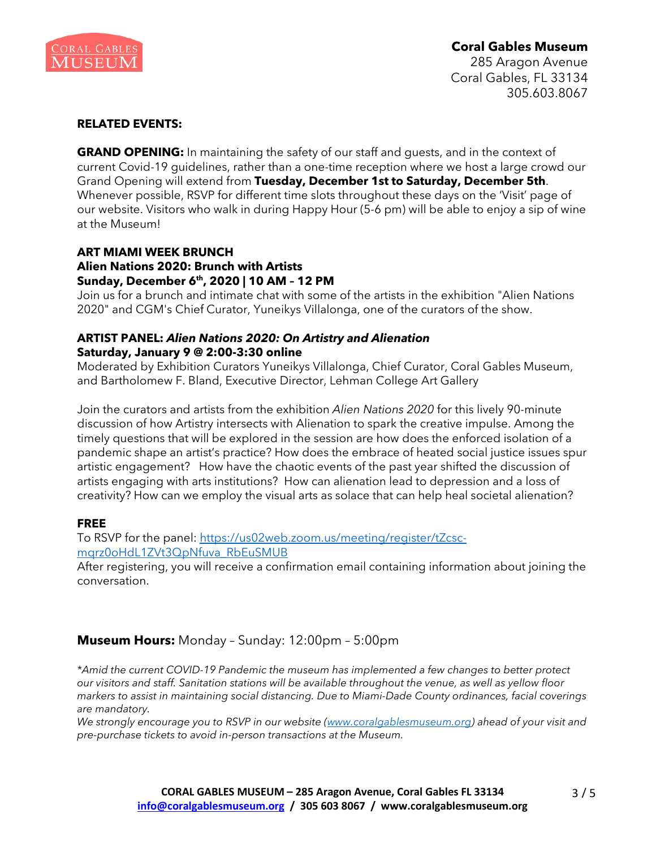

285 Aragon Avenue Coral Gables, FL 33134 305.603.8067

#### **RELATED EVENTS:**

**GRAND OPENING:** In maintaining the safety of our staff and guests, and in the context of current Covid-19 guidelines, rather than a one-time reception where we host a large crowd our Grand Opening will extend from **Tuesday, December 1st to Saturday, December 5th**. Whenever possible, RSVP for different time slots throughout these days on the 'Visit' page of our website. Visitors who walk in during Happy Hour (5-6 pm) will be able to enjoy a sip of wine at the Museum!

#### **ART MIAMI WEEK BRUNCH Alien Nations 2020: Brunch with Artists Sunday, December 6th, 2020 | 10 AM – 12 PM**

Join us for a brunch and intimate chat with some of the artists in the exhibition "Alien Nations 2020" and CGM's Chief Curator, Yuneikys Villalonga, one of the curators of the show.

#### **ARTIST PANEL:** *Alien Nations 2020: On Artistry and Alienation* **Saturday, January 9 @ 2:00-3:30 online**

Moderated by Exhibition Curators Yuneikys Villalonga, Chief Curator, Coral Gables Museum, and Bartholomew F. Bland, Executive Director, Lehman College Art Gallery

Join the curators and artists from the exhibition *Alien Nations 2020* for this lively 90-minute discussion of how Artistry intersects with Alienation to spark the creative impulse. Among the timely questions that will be explored in the session are how does the enforced isolation of a pandemic shape an artist's practice? How does the embrace of heated social justice issues spur artistic engagement? How have the chaotic events of the past year shifted the discussion of artists engaging with arts institutions? How can alienation lead to depression and a loss of creativity? How can we employ the visual arts as solace that can help heal societal alienation?

#### **FREE**

To RSVP for the panel: [https://us02web.zoom.us/meeting/register/tZcsc](https://url.emailprotection.link/?b20i3Al4vE6BahX7Ly8TikKntdxatB-zd2_iwubAVa6d9tWDvXlVi7P6lyMbaO1SxtfHrzfbvxv3BwsPhJVmuYi5uCwwQqd3F5nJ3U4nP4Rie3uL6GZf72FQN0t69siQT0Ct5DhiyNVBtR5eqKnuOhlmh6d2noW26xJ42XDLqdJY%7E)[mqrz0oHdL1ZVt3QpNfuva\\_RbEuSMUB](https://url.emailprotection.link/?b20i3Al4vE6BahX7Ly8TikKntdxatB-zd2_iwubAVa6d9tWDvXlVi7P6lyMbaO1SxtfHrzfbvxv3BwsPhJVmuYi5uCwwQqd3F5nJ3U4nP4Rie3uL6GZf72FQN0t69siQT0Ct5DhiyNVBtR5eqKnuOhlmh6d2noW26xJ42XDLqdJY%7E)

After registering, you will receive a confirmation email containing information about joining the conversation.

## **Museum Hours:** Monday – Sunday: 12:00pm – 5:00pm

*\*Amid the current COVID-19 Pandemic the museum has implemented a few changes to better protect our visitors and staff. Sanitation stations will be available throughout the venue, as well as yellow floor markers to assist in maintaining social distancing. Due to Miami-Dade County ordinances, facial coverings are mandatory.*

*We strongly encourage you to RSVP in our website [\(www.coralgablesmuseum.org\)](https://url.emailprotection.link/?bdnuwpCIbWPAGCRMFIta1oQ5kCVHJ6JXD877OA3gW88ceo_wY9vDB9hHxYxXEa153RhUsKbtkq0URouKBVJmvTQ%7E%7E) ahead of your visit and pre-purchase tickets to avoid in-person transactions at the Museum.*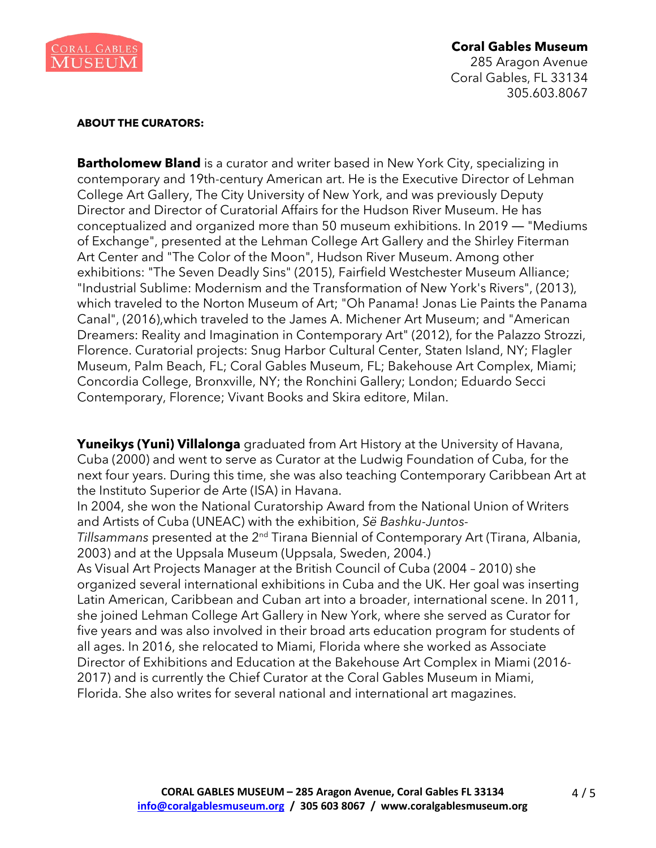

285 Aragon Avenue Coral Gables, FL 33134 305.603.8067

#### **ABOUT THE CURATORS:**

**Bartholomew Bland** is a curator and writer based in New York City, specializing in contemporary and 19th-century American art. He is the Executive Director of Lehman College Art Gallery, The City University of New York, and was previously Deputy Director and Director of Curatorial Affairs for the Hudson River Museum. He has conceptualized and organized more than 50 museum exhibitions. In 2019 ― "Mediums of Exchange", presented at the Lehman College Art Gallery and the Shirley Fiterman Art Center and "The Color of the Moon", Hudson River Museum. Among other exhibitions: "The Seven Deadly Sins" (2015), Fairfield Westchester Museum Alliance; "Industrial Sublime: Modernism and the Transformation of New York's Rivers", (2013), which traveled to the Norton Museum of Art; "Oh Panama! Jonas Lie Paints the Panama Canal", (2016),which traveled to the James A. Michener Art Museum; and "American Dreamers: Reality and Imagination in Contemporary Art" (2012), for the Palazzo Strozzi, Florence. Curatorial projects: Snug Harbor Cultural Center, Staten Island, NY; Flagler Museum, Palm Beach, FL; Coral Gables Museum, FL; Bakehouse Art Complex, Miami; Concordia College, Bronxville, NY; the Ronchini Gallery; London; Eduardo Secci Contemporary, Florence; Vivant Books and Skira editore, Milan.

**Yuneikys (Yuni) Villalonga** graduated from Art History at the University of Havana, Cuba (2000) and went to serve as Curator at the Ludwig Foundation of Cuba, for the next four years. During this time, she was also teaching Contemporary Caribbean Art at the Instituto Superior de Arte (ISA) in Havana.

In 2004, she won the National Curatorship Award from the National Union of Writers and Artists of Cuba (UNEAC) with the exhibition, *Së Bashku-Juntos-*

*Tillsammans* presented at the 2<sup>nd</sup> Tirana Biennial of Contemporary Art (Tirana, Albania, 2003) and at the Uppsala Museum (Uppsala, Sweden, 2004.)

As Visual Art Projects Manager at the British Council of Cuba (2004 – 2010) she organized several international exhibitions in Cuba and the UK. Her goal was inserting Latin American, Caribbean and Cuban art into a broader, international scene. In 2011, she joined Lehman College Art Gallery in New York, where she served as Curator for five years and was also involved in their broad arts education program for students of all ages. In 2016, she relocated to Miami, Florida where she worked as Associate Director of Exhibitions and Education at the Bakehouse Art Complex in Miami (2016- 2017) and is currently the Chief Curator at the Coral Gables Museum in Miami, Florida. She also writes for several national and international art magazines.